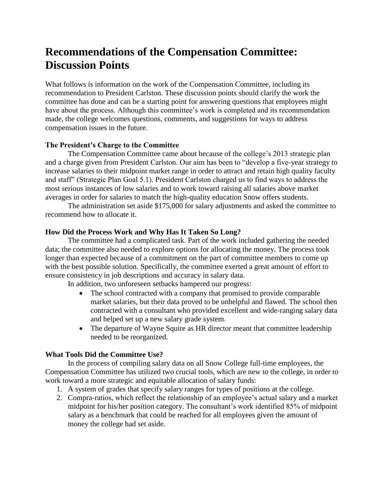# **Recommendations of the Compensation Committee: Discussion Points**

What follows is information on the work of the Compensation Committee, including its recommendation to President Carlston. These discussion points should clarify the work the committee has done and can be a starting point for answering questions that employees might have about the process. Although this committee's work is completed and its recommendation made, the college welcomes questions, comments, and suggestions for ways to address compensation issues in the future.

## **The President's Charge to the Committee**

The Compensation Committee came about because of the college's 2013 strategic plan and a charge given from President Carlston. Our aim has been to "develop a five-year strategy to increase salaries to their midpoint market range in order to attract and retain high quality faculty and staff" (Strategic Plan Goal 5.1). President Carlston charged us to find ways to address the most serious instances of low salaries and to work toward raising all salaries above market averages in order for salaries to match the high-quality education Snow offers students.

The administration set aside \$175,000 for salary adjustments and asked the committee to recommend how to allocate it.

## **How Did the Process Work and Why Has It Taken So Long?**

The committee had a complicated task. Part of the work included gathering the needed data; the committee also needed to explore options for allocating the money. The process took longer than expected because of a commitment on the part of committee members to come up with the best possible solution. Specifically, the committee exerted a great amount of effort to ensure consistency in job descriptions and accuracy in salary data.

In addition, two unforeseen setbacks hampered our progress:

- The school contracted with a company that promised to provide comparable market salaries, but their data proved to be unhelpful and flawed. The school then contracted with a consultant who provided excellent and wide-ranging salary data and helped set up a new salary grade system.
- The departure of Wayne Squire as HR director meant that committee leadership needed to be reorganized.

## **What Tools Did the Committee Use?**

In the process of compiling salary data on all Snow College full-time employees, the Compensation Committee has utilized two crucial tools, which are new to the college, in order to work toward a more strategic and equitable allocation of salary funds:

- 1. A system of grades that specify salary ranges for types of positions at the college.
- 2. Compra-ratios, which reflect the relationship of an employee's actual salary and a market midpoint for his/her position category. The consultant's work identified 85% of midpoint salary as a benchmark that could be reached for all employees given the amount of money the college had set aside.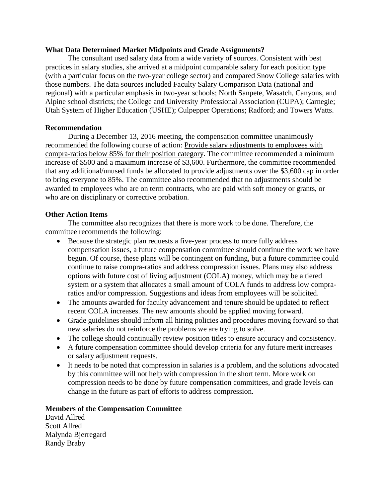#### **What Data Determined Market Midpoints and Grade Assignments?**

The consultant used salary data from a wide variety of sources. Consistent with best practices in salary studies, she arrived at a midpoint comparable salary for each position type (with a particular focus on the two-year college sector) and compared Snow College salaries with those numbers. The data sources included Faculty Salary Comparison Data (national and regional) with a particular emphasis in two-year schools; North Sanpete, Wasatch, Canyons, and Alpine school districts; the College and University Professional Association (CUPA); Carnegie; Utah System of Higher Education (USHE); Culpepper Operations; Radford; and Towers Watts.

## **Recommendation**

During a December 13, 2016 meeting, the compensation committee unanimously recommended the following course of action: Provide salary adjustments to employees with compra-ratios below 85% for their position category. The committee recommended a minimum increase of \$500 and a maximum increase of \$3,600. Furthermore, the committee recommended that any additional/unused funds be allocated to provide adjustments over the \$3,600 cap in order to bring everyone to 85%. The committee also recommended that no adjustments should be awarded to employees who are on term contracts, who are paid with soft money or grants, or who are on disciplinary or corrective probation.

## **Other Action Items**

The committee also recognizes that there is more work to be done. Therefore, the committee recommends the following:

- Because the strategic plan requests a five-year process to more fully address compensation issues, a future compensation committee should continue the work we have begun. Of course, these plans will be contingent on funding, but a future committee could continue to raise compra-ratios and address compression issues. Plans may also address options with future cost of living adjustment (COLA) money, which may be a tiered system or a system that allocates a small amount of COLA funds to address low compraratios and/or compression. Suggestions and ideas from employees will be solicited.
- The amounts awarded for faculty advancement and tenure should be updated to reflect recent COLA increases. The new amounts should be applied moving forward.
- Grade guidelines should inform all hiring policies and procedures moving forward so that new salaries do not reinforce the problems we are trying to solve.
- The college should continually review position titles to ensure accuracy and consistency.
- A future compensation committee should develop criteria for any future merit increases or salary adjustment requests.
- It needs to be noted that compression in salaries is a problem, and the solutions advocated by this committee will not help with compression in the short term. More work on compression needs to be done by future compensation committees, and grade levels can change in the future as part of efforts to address compression.

## **Members of the Compensation Committee**

David Allred Scott Allred Malynda Bjerregard Randy Braby